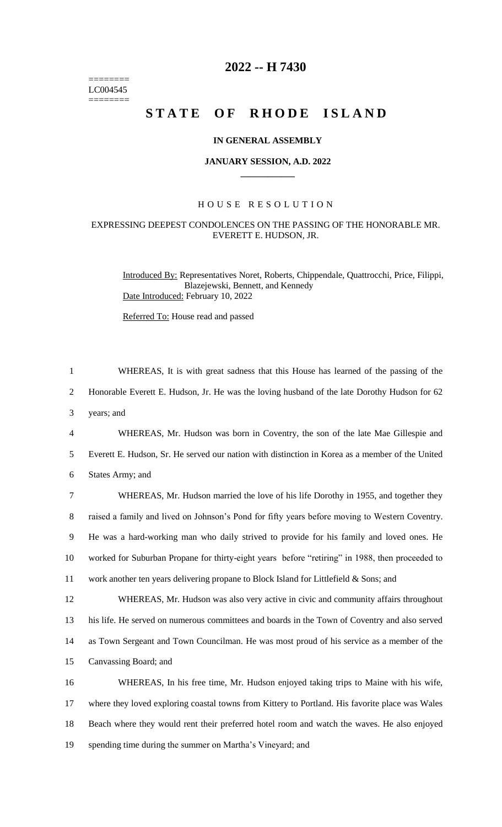======== LC004545  $=$ 

## **2022 -- H 7430**

# STATE OF RHODE ISLAND

#### **IN GENERAL ASSEMBLY**

#### **JANUARY SESSION, A.D. 2022 \_\_\_\_\_\_\_\_\_\_\_\_**

#### H O U S E R E S O L U T I O N

### EXPRESSING DEEPEST CONDOLENCES ON THE PASSING OF THE HONORABLE MR. EVERETT E. HUDSON, JR.

Introduced By: Representatives Noret, Roberts, Chippendale, Quattrocchi, Price, Filippi, Blazejewski, Bennett, and Kennedy Date Introduced: February 10, 2022

Referred To: House read and passed

| $\mathbf{1}$   | WHEREAS, It is with great sadness that this House has learned of the passing of the             |
|----------------|-------------------------------------------------------------------------------------------------|
| $\overline{2}$ | Honorable Everett E. Hudson, Jr. He was the loving husband of the late Dorothy Hudson for 62    |
| 3              | years; and                                                                                      |
| $\overline{4}$ | WHEREAS, Mr. Hudson was born in Coventry, the son of the late Mae Gillespie and                 |
| 5              | Everett E. Hudson, Sr. He served our nation with distinction in Korea as a member of the United |
| 6              | States Army; and                                                                                |
| $\tau$         | WHEREAS, Mr. Hudson married the love of his life Dorothy in 1955, and together they             |
| $8\,$          | raised a family and lived on Johnson's Pond for fifty years before moving to Western Coventry.  |
| $\overline{9}$ | He was a hard-working man who daily strived to provide for his family and loved ones. He        |
| 10             | worked for Suburban Propane for thirty-eight years before "retiring" in 1988, then proceeded to |
| 11             | work another ten years delivering propane to Block Island for Littlefield & Sons; and           |
| 12             | WHEREAS, Mr. Hudson was also very active in civic and community affairs throughout              |
| 13             | his life. He served on numerous committees and boards in the Town of Coventry and also served   |
| 14             | as Town Sergeant and Town Councilman. He was most proud of his service as a member of the       |
| 15             | Canvassing Board; and                                                                           |
| 16             | WHEREAS, In his free time, Mr. Hudson enjoyed taking trips to Maine with his wife,              |
| 17             | where they loved exploring coastal towns from Kittery to Portland. His favorite place was Wales |
| 18             | Beach where they would rent their preferred hotel room and watch the waves. He also enjoyed     |
| 19             | spending time during the summer on Martha's Vineyard; and                                       |